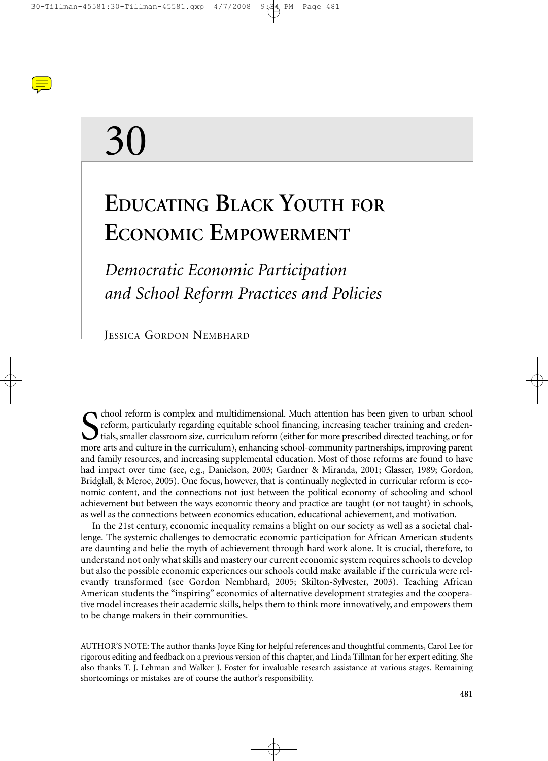

# 30

# **EDUCATING BLACK YOUTH FOR ECONOMIC EMPOWERMENT**

# *Democratic Economic Participation and School Reform Practices and Policies*

JESSICA GORDON NEMBHARD

S chool reform is complex and multidimensional. Much attention has been given to urban school reform, particularly regarding equitable school financing, increasing teacher training and credentials, smaller classroom size, chool reform is complex and multidimensional. Much attention has been given to urban school reform, particularly regarding equitable school financing, increasing teacher training and credentials, smaller classroom size, curriculum reform (either for more prescribed directed teaching, or for and family resources, and increasing supplemental education. Most of those reforms are found to have had impact over time (see, e.g., Danielson, 2003; Gardner & Miranda, 2001; Glasser, 1989; Gordon, Bridglall, & Meroe, 2005). One focus, however, that is continually neglected in curricular reform is economic content, and the connections not just between the political economy of schooling and school achievement but between the ways economic theory and practice are taught (or not taught) in schools, as well as the connections between economics education, educational achievement, and motivation.

In the 21st century, economic inequality remains a blight on our society as well as a societal challenge. The systemic challenges to democratic economic participation for African American students are daunting and belie the myth of achievement through hard work alone. It is crucial, therefore, to understand not only what skills and mastery our current economic system requires schools to develop but also the possible economic experiences our schools could make available if the curricula were relevantly transformed (see Gordon Nembhard, 2005; Skilton-Sylvester, 2003). Teaching African American students the "inspiring" economics of alternative development strategies and the cooperative model increases their academic skills, helps them to think more innovatively, and empowers them to be change makers in their communities.

AUTHOR'S NOTE: The author thanks Joyce King for helpful references and thoughtful comments, Carol Lee for rigorous editing and feedback on a previous version of this chapter, and Linda Tillman for her expert editing. She also thanks T. J. Lehman and Walker J. Foster for invaluable research assistance at various stages. Remaining shortcomings or mistakes are of course the author's responsibility.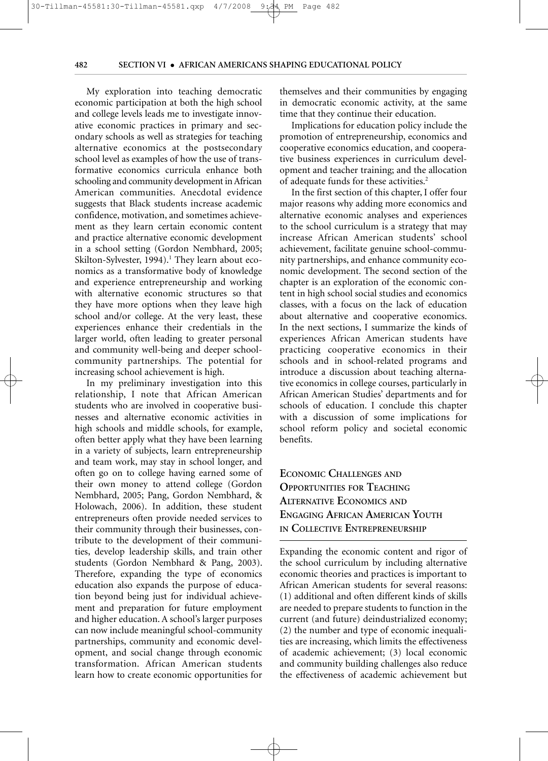My exploration into teaching democratic economic participation at both the high school and college levels leads me to investigate innovative economic practices in primary and secondary schools as well as strategies for teaching alternative economics at the postsecondary school level as examples of how the use of transformative economics curricula enhance both schooling and community development in African American communities. Anecdotal evidence suggests that Black students increase academic confidence, motivation, and sometimes achievement as they learn certain economic content and practice alternative economic development in a school setting (Gordon Nembhard, 2005; Skilton-Sylvester, 1994).<sup>1</sup> They learn about economics as a transformative body of knowledge and experience entrepreneurship and working with alternative economic structures so that they have more options when they leave high school and/or college. At the very least, these experiences enhance their credentials in the larger world, often leading to greater personal and community well-being and deeper schoolcommunity partnerships. The potential for increasing school achievement is high.

 $\frac{30}{11}$   $\frac{30}{11}$   $\frac{40}{11}$ 

In my preliminary investigation into this relationship, I note that African American students who are involved in cooperative businesses and alternative economic activities in high schools and middle schools, for example, often better apply what they have been learning in a variety of subjects, learn entrepreneurship and team work, may stay in school longer, and often go on to college having earned some of their own money to attend college (Gordon Nembhard, 2005; Pang, Gordon Nembhard, & Holowach, 2006). In addition, these student entrepreneurs often provide needed services to their community through their businesses, contribute to the development of their communities, develop leadership skills, and train other students (Gordon Nembhard & Pang, 2003). Therefore, expanding the type of economics education also expands the purpose of education beyond being just for individual achievement and preparation for future employment and higher education. A school's larger purposes can now include meaningful school-community partnerships, community and economic development, and social change through economic transformation. African American students learn how to create economic opportunities for themselves and their communities by engaging in democratic economic activity, at the same time that they continue their education.

Implications for education policy include the promotion of entrepreneurship, economics and cooperative economics education, and cooperative business experiences in curriculum development and teacher training; and the allocation of adequate funds for these activities.<sup>2</sup>

In the first section of this chapter, I offer four major reasons why adding more economics and alternative economic analyses and experiences to the school curriculum is a strategy that may increase African American students' school achievement, facilitate genuine school-community partnerships, and enhance community economic development. The second section of the chapter is an exploration of the economic content in high school social studies and economics classes, with a focus on the lack of education about alternative and cooperative economics. In the next sections, I summarize the kinds of experiences African American students have practicing cooperative economics in their schools and in school-related programs and introduce a discussion about teaching alternative economics in college courses, particularly in African American Studies' departments and for schools of education. I conclude this chapter with a discussion of some implications for school reform policy and societal economic benefits.

# **ECONOMIC CHALLENGES AND OPPORTUNITIES FOR TEACHING ALTERNATIVE ECONOMICS AND ENGAGING AFRICAN AMERICAN YOUTH IN COLLECTIVE ENTREPRENEURSHIP**

Expanding the economic content and rigor of the school curriculum by including alternative economic theories and practices is important to African American students for several reasons: (1) additional and often different kinds of skills are needed to prepare students to function in the current (and future) deindustrialized economy; (2) the number and type of economic inequalities are increasing, which limits the effectiveness of academic achievement; (3) local economic and community building challenges also reduce the effectiveness of academic achievement but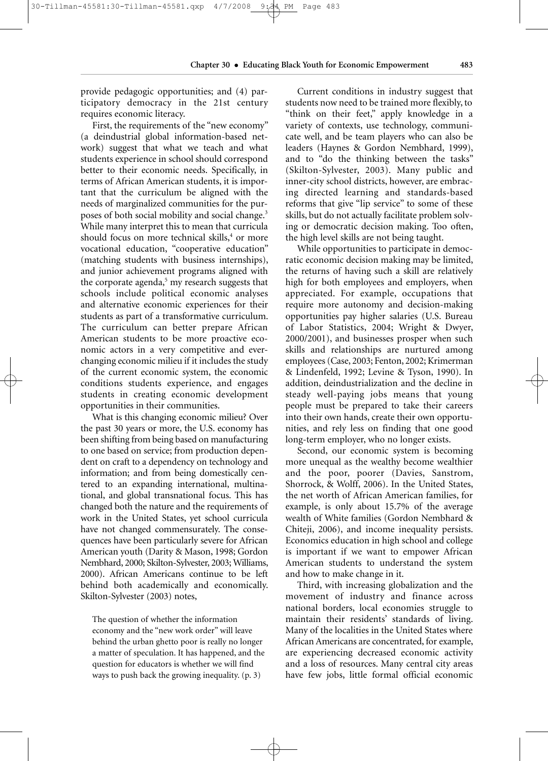provide pedagogic opportunities; and (4) participatory democracy in the 21st century requires economic literacy.

First, the requirements of the "new economy" (a deindustrial global information-based network) suggest that what we teach and what students experience in school should correspond better to their economic needs. Specifically, in terms of African American students, it is important that the curriculum be aligned with the needs of marginalized communities for the purposes of both social mobility and social change.3 While many interpret this to mean that curricula should focus on more technical skills,<sup>4</sup> or more vocational education, "cooperative education" (matching students with business internships), and junior achievement programs aligned with the corporate agenda, $5$  my research suggests that schools include political economic analyses and alternative economic experiences for their students as part of a transformative curriculum. The curriculum can better prepare African American students to be more proactive economic actors in a very competitive and everchanging economic milieu if it includes the study of the current economic system, the economic conditions students experience, and engages students in creating economic development opportunities in their communities.

What is this changing economic milieu? Over the past 30 years or more, the U.S. economy has been shifting from being based on manufacturing to one based on service; from production dependent on craft to a dependency on technology and information; and from being domestically centered to an expanding international, multinational, and global transnational focus. This has changed both the nature and the requirements of work in the United States, yet school curricula have not changed commensurately. The consequences have been particularly severe for African American youth (Darity & Mason, 1998; Gordon Nembhard, 2000; Skilton-Sylvester, 2003; Williams, 2000). African Americans continue to be left behind both academically and economically. Skilton-Sylvester (2003) notes,

The question of whether the information economy and the "new work order" will leave behind the urban ghetto poor is really no longer a matter of speculation. It has happened, and the question for educators is whether we will find ways to push back the growing inequality. (p. 3)

Current conditions in industry suggest that students now need to be trained more flexibly, to "think on their feet," apply knowledge in a variety of contexts, use technology, communicate well, and be team players who can also be leaders (Haynes & Gordon Nembhard, 1999), and to "do the thinking between the tasks" (Skilton-Sylvester, 2003). Many public and inner-city school districts, however, are embracing directed learning and standards-based reforms that give "lip service" to some of these skills, but do not actually facilitate problem solving or democratic decision making. Too often, the high level skills are not being taught.

While opportunities to participate in democratic economic decision making may be limited, the returns of having such a skill are relatively high for both employees and employers, when appreciated. For example, occupations that require more autonomy and decision-making opportunities pay higher salaries (U.S. Bureau of Labor Statistics, 2004; Wright & Dwyer, 2000/2001), and businesses prosper when such skills and relationships are nurtured among employees (Case, 2003; Fenton, 2002; Krimerman & Lindenfeld, 1992; Levine & Tyson, 1990). In addition, deindustrialization and the decline in steady well-paying jobs means that young people must be prepared to take their careers into their own hands, create their own opportunities, and rely less on finding that one good long-term employer, who no longer exists.

Second, our economic system is becoming more unequal as the wealthy become wealthier and the poor, poorer (Davies, Sanstrom, Shorrock, & Wolff, 2006). In the United States, the net worth of African American families, for example, is only about 15.7% of the average wealth of White families (Gordon Nembhard & Chiteji, 2006), and income inequality persists. Economics education in high school and college is important if we want to empower African American students to understand the system and how to make change in it.

Third, with increasing globalization and the movement of industry and finance across national borders, local economies struggle to maintain their residents' standards of living. Many of the localities in the United States where African Americans are concentrated, for example, are experiencing decreased economic activity and a loss of resources. Many central city areas have few jobs, little formal official economic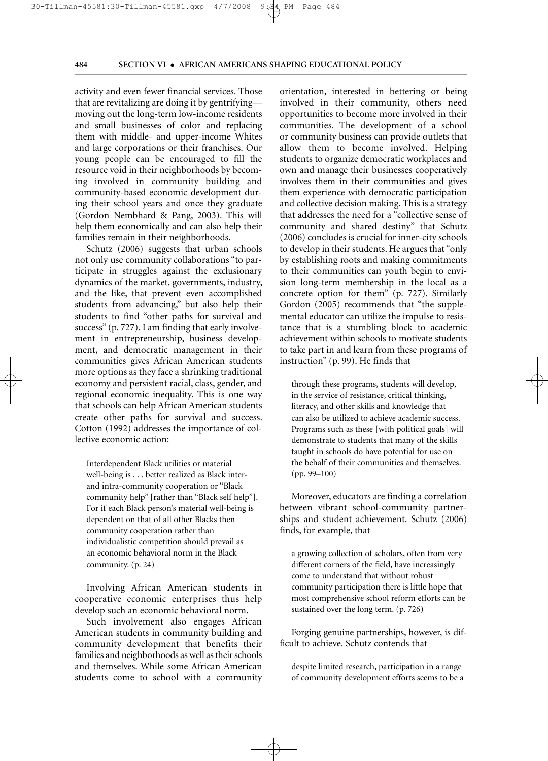activity and even fewer financial services. Those that are revitalizing are doing it by gentrifying moving out the long-term low-income residents and small businesses of color and replacing them with middle- and upper-income Whites and large corporations or their franchises. Our young people can be encouraged to fill the resource void in their neighborhoods by becoming involved in community building and community-based economic development during their school years and once they graduate (Gordon Nembhard & Pang, 2003). This will help them economically and can also help their families remain in their neighborhoods.

 $\frac{30}{11}$   $\frac{30}{11}$   $\frac{40}{11}$ 

Schutz (2006) suggests that urban schools not only use community collaborations "to participate in struggles against the exclusionary dynamics of the market, governments, industry, and the like, that prevent even accomplished students from advancing," but also help their students to find "other paths for survival and success" (p. 727). I am finding that early involvement in entrepreneurship, business development, and democratic management in their communities gives African American students more options as they face a shrinking traditional economy and persistent racial, class, gender, and regional economic inequality. This is one way that schools can help African American students create other paths for survival and success. Cotton (1992) addresses the importance of collective economic action:

Interdependent Black utilities or material well-being is . . . better realized as Black interand intra-community cooperation or "Black community help" [rather than "Black self help"]. For if each Black person's material well-being is dependent on that of all other Blacks then community cooperation rather than individualistic competition should prevail as an economic behavioral norm in the Black community. (p. 24)

Involving African American students in cooperative economic enterprises thus help develop such an economic behavioral norm.

Such involvement also engages African American students in community building and community development that benefits their families and neighborhoods as well as their schools and themselves. While some African American students come to school with a community orientation, interested in bettering or being involved in their community, others need opportunities to become more involved in their communities. The development of a school or community business can provide outlets that allow them to become involved. Helping students to organize democratic workplaces and own and manage their businesses cooperatively involves them in their communities and gives them experience with democratic participation and collective decision making. This is a strategy that addresses the need for a "collective sense of community and shared destiny" that Schutz (2006) concludes is crucial for inner-city schools to develop in their students. He argues that "only by establishing roots and making commitments to their communities can youth begin to envision long-term membership in the local as a concrete option for them" (p. 727). Similarly Gordon (2005) recommends that "the supplemental educator can utilize the impulse to resistance that is a stumbling block to academic achievement within schools to motivate students to take part in and learn from these programs of instruction" (p. 99). He finds that

through these programs, students will develop, in the service of resistance, critical thinking, literacy, and other skills and knowledge that can also be utilized to achieve academic success. Programs such as these [with political goals] will demonstrate to students that many of the skills taught in schools do have potential for use on the behalf of their communities and themselves. (pp. 99–100)

Moreover, educators are finding a correlation between vibrant school-community partnerships and student achievement. Schutz (2006) finds, for example, that

a growing collection of scholars, often from very different corners of the field, have increasingly come to understand that without robust community participation there is little hope that most comprehensive school reform efforts can be sustained over the long term. (p. 726)

Forging genuine partnerships, however, is difficult to achieve. Schutz contends that

despite limited research, participation in a range of community development efforts seems to be a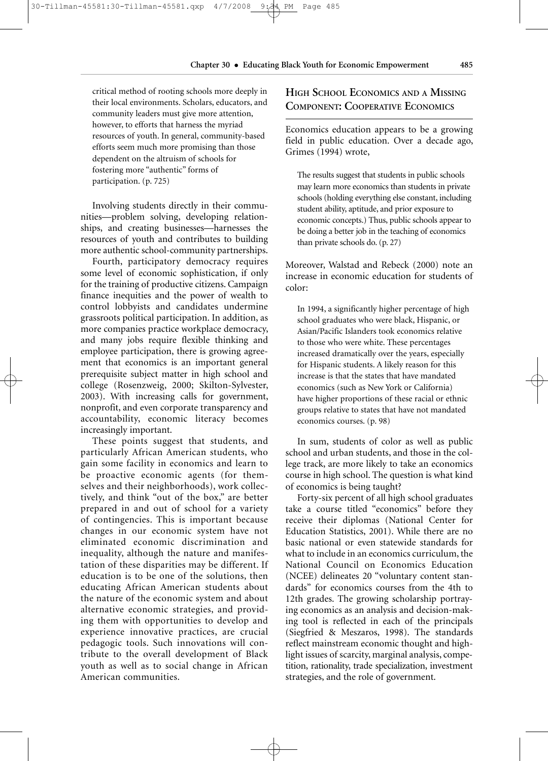critical method of rooting schools more deeply in their local environments. Scholars, educators, and community leaders must give more attention, however, to efforts that harness the myriad resources of youth. In general, community-based efforts seem much more promising than those dependent on the altruism of schools for fostering more "authentic" forms of participation. (p. 725)

Involving students directly in their communities—problem solving, developing relationships, and creating businesses—harnesses the resources of youth and contributes to building more authentic school-community partnerships.

Fourth, participatory democracy requires some level of economic sophistication, if only for the training of productive citizens. Campaign finance inequities and the power of wealth to control lobbyists and candidates undermine grassroots political participation. In addition, as more companies practice workplace democracy, and many jobs require flexible thinking and employee participation, there is growing agreement that economics is an important general prerequisite subject matter in high school and college (Rosenzweig, 2000; Skilton-Sylvester, 2003). With increasing calls for government, nonprofit, and even corporate transparency and accountability, economic literacy becomes increasingly important.

These points suggest that students, and particularly African American students, who gain some facility in economics and learn to be proactive economic agents (for themselves and their neighborhoods), work collectively, and think "out of the box," are better prepared in and out of school for a variety of contingencies. This is important because changes in our economic system have not eliminated economic discrimination and inequality, although the nature and manifestation of these disparities may be different. If education is to be one of the solutions, then educating African American students about the nature of the economic system and about alternative economic strategies, and providing them with opportunities to develop and experience innovative practices, are crucial pedagogic tools. Such innovations will contribute to the overall development of Black youth as well as to social change in African American communities.

### **HIGH SCHOOL ECONOMICS AND A MISSING COMPONENT: COOPERATIVE ECONOMICS**

Economics education appears to be a growing field in public education. Over a decade ago, Grimes (1994) wrote,

The results suggest that students in public schools may learn more economics than students in private schools (holding everything else constant, including student ability, aptitude, and prior exposure to economic concepts.) Thus, public schools appear to be doing a better job in the teaching of economics than private schools do. (p. 27)

Moreover, Walstad and Rebeck (2000) note an increase in economic education for students of color:

In 1994, a significantly higher percentage of high school graduates who were black, Hispanic, or Asian/Pacific Islanders took economics relative to those who were white. These percentages increased dramatically over the years, especially for Hispanic students. A likely reason for this increase is that the states that have mandated economics (such as New York or California) have higher proportions of these racial or ethnic groups relative to states that have not mandated economics courses. (p. 98)

In sum, students of color as well as public school and urban students, and those in the college track, are more likely to take an economics course in high school. The question is what kind of economics is being taught?

Forty-six percent of all high school graduates take a course titled "economics" before they receive their diplomas (National Center for Education Statistics, 2001). While there are no basic national or even statewide standards for what to include in an economics curriculum, the National Council on Economics Education (NCEE) delineates 20 "voluntary content standards" for economics courses from the 4th to 12th grades. The growing scholarship portraying economics as an analysis and decision-making tool is reflected in each of the principals (Siegfried & Meszaros, 1998). The standards reflect mainstream economic thought and highlight issues of scarcity, marginal analysis, competition, rationality, trade specialization, investment strategies, and the role of government.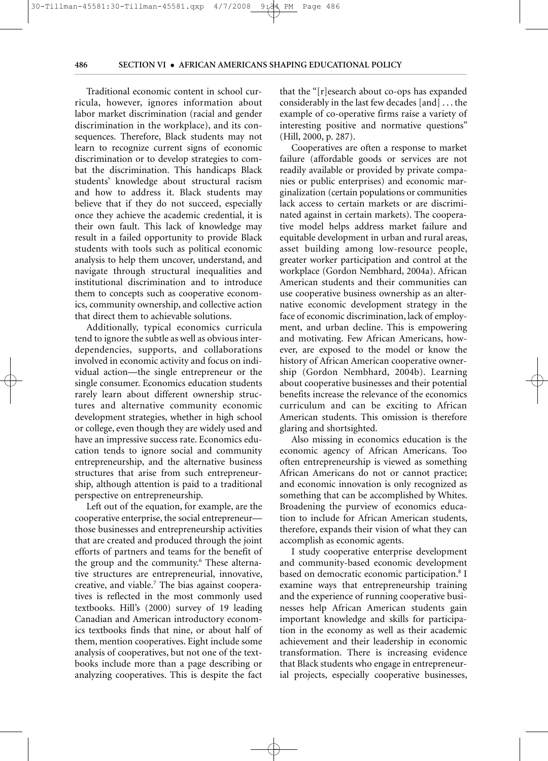Traditional economic content in school curricula, however, ignores information about labor market discrimination (racial and gender discrimination in the workplace), and its consequences. Therefore, Black students may not learn to recognize current signs of economic discrimination or to develop strategies to combat the discrimination. This handicaps Black students' knowledge about structural racism and how to address it. Black students may believe that if they do not succeed, especially once they achieve the academic credential, it is their own fault. This lack of knowledge may result in a failed opportunity to provide Black students with tools such as political economic analysis to help them uncover, understand, and navigate through structural inequalities and institutional discrimination and to introduce them to concepts such as cooperative economics, community ownership, and collective action that direct them to achievable solutions.

 $\frac{30}{11}$   $\frac{30}{11}$   $\frac{40}{11}$ 

Additionally, typical economics curricula tend to ignore the subtle as well as obvious interdependencies, supports, and collaborations involved in economic activity and focus on individual action—the single entrepreneur or the single consumer. Economics education students rarely learn about different ownership structures and alternative community economic development strategies, whether in high school or college, even though they are widely used and have an impressive success rate. Economics education tends to ignore social and community entrepreneurship, and the alternative business structures that arise from such entrepreneurship, although attention is paid to a traditional perspective on entrepreneurship.

Left out of the equation, for example, are the cooperative enterprise, the social entrepreneur those businesses and entrepreneurship activities that are created and produced through the joint efforts of partners and teams for the benefit of the group and the community.<sup>6</sup> These alternative structures are entrepreneurial, innovative, creative, and viable.7 The bias against cooperatives is reflected in the most commonly used textbooks. Hill's (2000) survey of 19 leading Canadian and American introductory economics textbooks finds that nine, or about half of them, mention cooperatives. Eight include some analysis of cooperatives, but not one of the textbooks include more than a page describing or analyzing cooperatives. This is despite the fact that the "[r]esearch about co-ops has expanded considerably in the last few decades [and] . . . the example of co-operative firms raise a variety of interesting positive and normative questions" (Hill, 2000, p. 287).

Cooperatives are often a response to market failure (affordable goods or services are not readily available or provided by private companies or public enterprises) and economic marginalization (certain populations or communities lack access to certain markets or are discriminated against in certain markets). The cooperative model helps address market failure and equitable development in urban and rural areas, asset building among low-resource people, greater worker participation and control at the workplace (Gordon Nembhard, 2004a). African American students and their communities can use cooperative business ownership as an alternative economic development strategy in the face of economic discrimination, lack of employment, and urban decline. This is empowering and motivating. Few African Americans, however, are exposed to the model or know the history of African American cooperative ownership (Gordon Nembhard, 2004b). Learning about cooperative businesses and their potential benefits increase the relevance of the economics curriculum and can be exciting to African American students. This omission is therefore glaring and shortsighted.

Also missing in economics education is the economic agency of African Americans. Too often entrepreneurship is viewed as something African Americans do not or cannot practice; and economic innovation is only recognized as something that can be accomplished by Whites. Broadening the purview of economics education to include for African American students, therefore, expands their vision of what they can accomplish as economic agents.

I study cooperative enterprise development and community-based economic development based on democratic economic participation.<sup>8</sup> I examine ways that entrepreneurship training and the experience of running cooperative businesses help African American students gain important knowledge and skills for participation in the economy as well as their academic achievement and their leadership in economic transformation. There is increasing evidence that Black students who engage in entrepreneurial projects, especially cooperative businesses,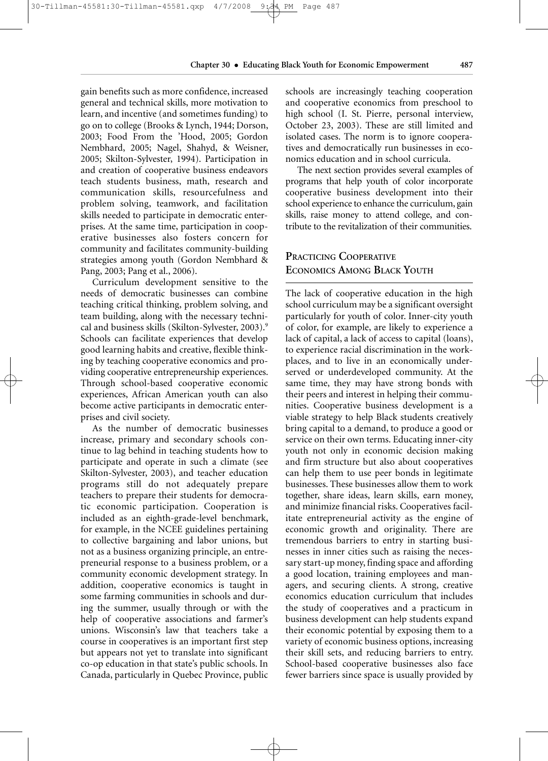gain benefits such as more confidence, increased general and technical skills, more motivation to learn, and incentive (and sometimes funding) to go on to college (Brooks & Lynch, 1944; Dorson, 2003; Food From the 'Hood, 2005; Gordon Nembhard, 2005; Nagel, Shahyd, & Weisner, 2005; Skilton-Sylvester, 1994). Participation in and creation of cooperative business endeavors teach students business, math, research and communication skills, resourcefulness and problem solving, teamwork, and facilitation skills needed to participate in democratic enterprises. At the same time, participation in cooperative businesses also fosters concern for community and facilitates community-building strategies among youth (Gordon Nembhard & Pang, 2003; Pang et al., 2006).

30-Tillman-45581:30-Tillman-45581.qxp 4/7/2008 9:34 PM Page 487

Curriculum development sensitive to the needs of democratic businesses can combine teaching critical thinking, problem solving, and team building, along with the necessary technical and business skills (Skilton-Sylvester, 2003).<sup>9</sup> Schools can facilitate experiences that develop good learning habits and creative, flexible thinking by teaching cooperative economics and providing cooperative entrepreneurship experiences. Through school-based cooperative economic experiences, African American youth can also become active participants in democratic enterprises and civil society.

As the number of democratic businesses increase, primary and secondary schools continue to lag behind in teaching students how to participate and operate in such a climate (see Skilton-Sylvester, 2003), and teacher education programs still do not adequately prepare teachers to prepare their students for democratic economic participation. Cooperation is included as an eighth-grade-level benchmark, for example, in the NCEE guidelines pertaining to collective bargaining and labor unions, but not as a business organizing principle, an entrepreneurial response to a business problem, or a community economic development strategy. In addition, cooperative economics is taught in some farming communities in schools and during the summer, usually through or with the help of cooperative associations and farmer's unions. Wisconsin's law that teachers take a course in cooperatives is an important first step but appears not yet to translate into significant co-op education in that state's public schools. In Canada, particularly in Quebec Province, public schools are increasingly teaching cooperation and cooperative economics from preschool to high school (I. St. Pierre, personal interview, October 23, 2003). These are still limited and isolated cases. The norm is to ignore cooperatives and democratically run businesses in economics education and in school curricula.

The next section provides several examples of programs that help youth of color incorporate cooperative business development into their school experience to enhance the curriculum, gain skills, raise money to attend college, and contribute to the revitalization of their communities.

# **PRACTICING COOPERATIVE ECONOMICS AMONG BLACK YOUTH**

The lack of cooperative education in the high school curriculum may be a significant oversight particularly for youth of color. Inner-city youth of color, for example, are likely to experience a lack of capital, a lack of access to capital (loans), to experience racial discrimination in the workplaces, and to live in an economically underserved or underdeveloped community. At the same time, they may have strong bonds with their peers and interest in helping their communities. Cooperative business development is a viable strategy to help Black students creatively bring capital to a demand, to produce a good or service on their own terms. Educating inner-city youth not only in economic decision making and firm structure but also about cooperatives can help them to use peer bonds in legitimate businesses. These businesses allow them to work together, share ideas, learn skills, earn money, and minimize financial risks. Cooperatives facilitate entrepreneurial activity as the engine of economic growth and originality. There are tremendous barriers to entry in starting businesses in inner cities such as raising the necessary start-up money, finding space and affording a good location, training employees and managers, and securing clients. A strong, creative economics education curriculum that includes the study of cooperatives and a practicum in business development can help students expand their economic potential by exposing them to a variety of economic business options, increasing their skill sets, and reducing barriers to entry. School-based cooperative businesses also face fewer barriers since space is usually provided by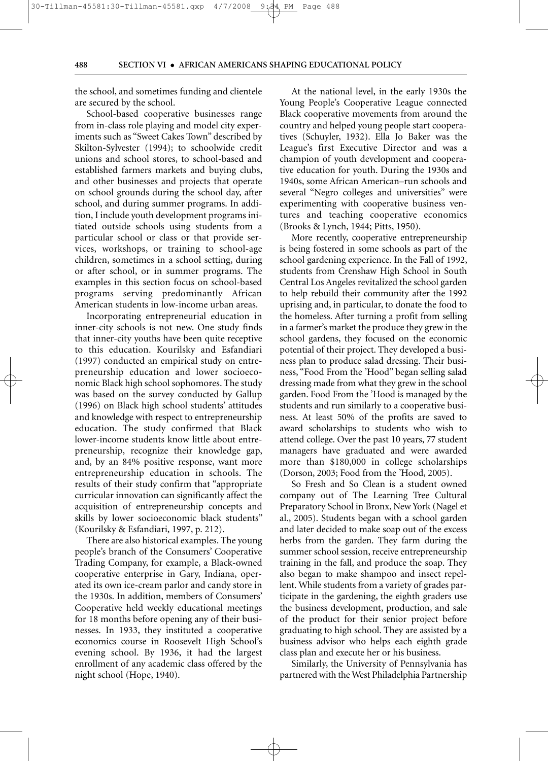the school, and sometimes funding and clientele are secured by the school.

School-based cooperative businesses range from in-class role playing and model city experiments such as "Sweet Cakes Town" described by Skilton-Sylvester (1994); to schoolwide credit unions and school stores, to school-based and established farmers markets and buying clubs, and other businesses and projects that operate on school grounds during the school day, after school, and during summer programs. In addition, I include youth development programs initiated outside schools using students from a particular school or class or that provide services, workshops, or training to school-age children, sometimes in a school setting, during or after school, or in summer programs. The examples in this section focus on school-based programs serving predominantly African American students in low-income urban areas.

Incorporating entrepreneurial education in inner-city schools is not new. One study finds that inner-city youths have been quite receptive to this education. Kourilsky and Esfandiari (1997) conducted an empirical study on entrepreneurship education and lower socioeconomic Black high school sophomores. The study was based on the survey conducted by Gallup (1996) on Black high school students' attitudes and knowledge with respect to entrepreneurship education. The study confirmed that Black lower-income students know little about entrepreneurship, recognize their knowledge gap, and, by an 84% positive response, want more entrepreneurship education in schools. The results of their study confirm that "appropriate curricular innovation can significantly affect the acquisition of entrepreneurship concepts and skills by lower socioeconomic black students" (Kourilsky & Esfandiari, 1997, p. 212).

There are also historical examples. The young people's branch of the Consumers' Cooperative Trading Company, for example, a Black-owned cooperative enterprise in Gary, Indiana, operated its own ice-cream parlor and candy store in the 1930s. In addition, members of Consumers' Cooperative held weekly educational meetings for 18 months before opening any of their businesses. In 1933, they instituted a cooperative economics course in Roosevelt High School's evening school. By 1936, it had the largest enrollment of any academic class offered by the night school (Hope, 1940).

At the national level, in the early 1930s the Young People's Cooperative League connected Black cooperative movements from around the country and helped young people start cooperatives (Schuyler, 1932). Ella Jo Baker was the League's first Executive Director and was a champion of youth development and cooperative education for youth. During the 1930s and 1940s, some African American–run schools and several "Negro colleges and universities" were experimenting with cooperative business ventures and teaching cooperative economics (Brooks & Lynch, 1944; Pitts, 1950).

More recently, cooperative entrepreneurship is being fostered in some schools as part of the school gardening experience. In the Fall of 1992, students from Crenshaw High School in South Central Los Angeles revitalized the school garden to help rebuild their community after the 1992 uprising and, in particular, to donate the food to the homeless. After turning a profit from selling in a farmer's market the produce they grew in the school gardens, they focused on the economic potential of their project. They developed a business plan to produce salad dressing. Their business, "Food From the 'Hood" began selling salad dressing made from what they grew in the school garden. Food From the 'Hood is managed by the students and run similarly to a cooperative business. At least 50% of the profits are saved to award scholarships to students who wish to attend college. Over the past 10 years, 77 student managers have graduated and were awarded more than \$180,000 in college scholarships (Dorson, 2003; Food from the 'Hood, 2005).

So Fresh and So Clean is a student owned company out of The Learning Tree Cultural Preparatory School in Bronx, New York (Nagel et al., 2005). Students began with a school garden and later decided to make soap out of the excess herbs from the garden. They farm during the summer school session, receive entrepreneurship training in the fall, and produce the soap. They also began to make shampoo and insect repellent. While students from a variety of grades participate in the gardening, the eighth graders use the business development, production, and sale of the product for their senior project before graduating to high school. They are assisted by a business advisor who helps each eighth grade class plan and execute her or his business.

Similarly, the University of Pennsylvania has partnered with the West Philadelphia Partnership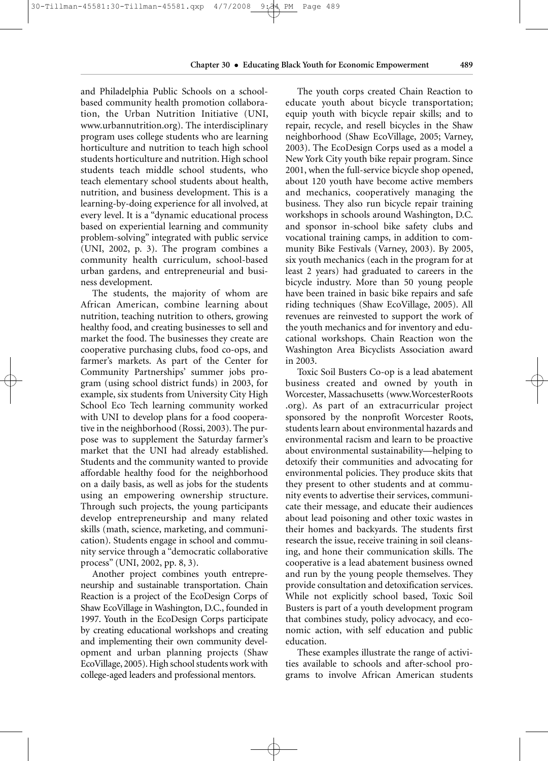#### **Chapter 30** • **Educating Black Youth for Economic Empowerment 489**

and Philadelphia Public Schools on a schoolbased community health promotion collaboration, the Urban Nutrition Initiative (UNI, www.urbannutrition.org). The interdisciplinary program uses college students who are learning horticulture and nutrition to teach high school students horticulture and nutrition. High school students teach middle school students, who teach elementary school students about health, nutrition, and business development. This is a learning-by-doing experience for all involved, at every level. It is a "dynamic educational process based on experiential learning and community problem-solving" integrated with public service (UNI, 2002, p. 3). The program combines a community health curriculum, school-based urban gardens, and entrepreneurial and business development.

The students, the majority of whom are African American, combine learning about nutrition, teaching nutrition to others, growing healthy food, and creating businesses to sell and market the food. The businesses they create are cooperative purchasing clubs, food co-ops, and farmer's markets. As part of the Center for Community Partnerships' summer jobs program (using school district funds) in 2003, for example, six students from University City High School Eco Tech learning community worked with UNI to develop plans for a food cooperative in the neighborhood (Rossi, 2003). The purpose was to supplement the Saturday farmer's market that the UNI had already established. Students and the community wanted to provide affordable healthy food for the neighborhood on a daily basis, as well as jobs for the students using an empowering ownership structure. Through such projects, the young participants develop entrepreneurship and many related skills (math, science, marketing, and communication). Students engage in school and community service through a "democratic collaborative process" (UNI, 2002, pp. 8, 3).

Another project combines youth entrepreneurship and sustainable transportation. Chain Reaction is a project of the EcoDesign Corps of Shaw EcoVillage in Washington, D.C., founded in 1997. Youth in the EcoDesign Corps participate by creating educational workshops and creating and implementing their own community development and urban planning projects (Shaw EcoVillage, 2005). High school students work with college-aged leaders and professional mentors.

The youth corps created Chain Reaction to educate youth about bicycle transportation; equip youth with bicycle repair skills; and to repair, recycle, and resell bicycles in the Shaw neighborhood (Shaw EcoVillage, 2005; Varney, 2003). The EcoDesign Corps used as a model a New York City youth bike repair program. Since 2001, when the full-service bicycle shop opened, about 120 youth have become active members and mechanics, cooperatively managing the business. They also run bicycle repair training workshops in schools around Washington, D.C. and sponsor in-school bike safety clubs and vocational training camps, in addition to community Bike Festivals (Varney, 2003). By 2005, six youth mechanics (each in the program for at least 2 years) had graduated to careers in the bicycle industry. More than 50 young people have been trained in basic bike repairs and safe riding techniques (Shaw EcoVillage, 2005). All revenues are reinvested to support the work of the youth mechanics and for inventory and educational workshops. Chain Reaction won the Washington Area Bicyclists Association award in 2003.

Toxic Soil Busters Co-op is a lead abatement business created and owned by youth in Worcester, Massachusetts (www.WorcesterRoots .org). As part of an extracurricular project sponsored by the nonprofit Worcester Roots, students learn about environmental hazards and environmental racism and learn to be proactive about environmental sustainability—helping to detoxify their communities and advocating for environmental policies. They produce skits that they present to other students and at community events to advertise their services, communicate their message, and educate their audiences about lead poisoning and other toxic wastes in their homes and backyards. The students first research the issue, receive training in soil cleansing, and hone their communication skills. The cooperative is a lead abatement business owned and run by the young people themselves. They provide consultation and detoxification services. While not explicitly school based, Toxic Soil Busters is part of a youth development program that combines study, policy advocacy, and economic action, with self education and public education.

These examples illustrate the range of activities available to schools and after-school programs to involve African American students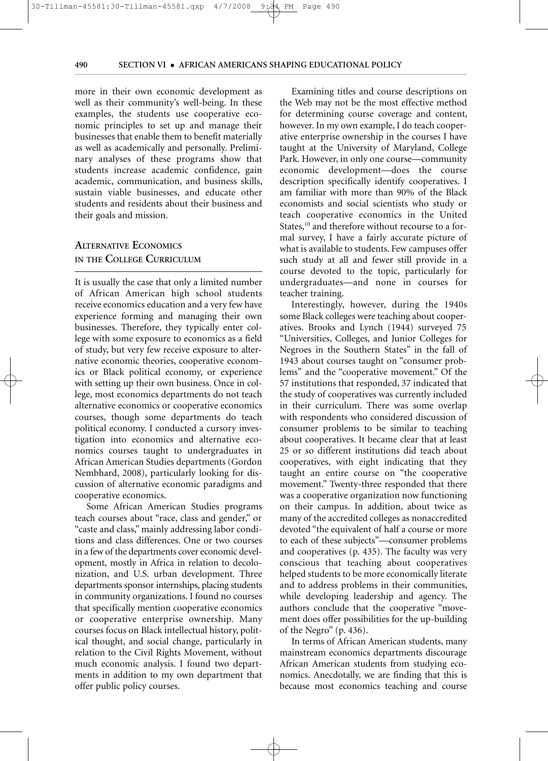### $\frac{30-7}{1}$

#### **490 SECTION VI** • **AFRICAN AMERICANS SHAPING EDUCATIONAL POLICY**

more in their own economic development as well as their community's well-being. In these examples, the students use cooperative economic principles to set up and manage their businesses that enable them to benefit materially as well as academically and personally. Preliminary analyses of these programs show that students increase academic confidence, gain academic, communication, and business skills, sustain viable businesses, and educate other students and residents about their business and their goals and mission.

# **ALTERNATIVE ECONOMICS IN THE COLLEGE CURRICULUM**

It is usually the case that only a limited number of African American high school students receive economics education and a very few have experience forming and managing their own businesses. Therefore, they typically enter college with some exposure to economics as a field of study, but very few receive exposure to alternative economic theories, cooperative economics or Black political economy, or experience with setting up their own business. Once in college, most economics departments do not teach alternative economics or cooperative economics courses, though some departments do teach political economy. I conducted a cursory investigation into economics and alternative economics courses taught to undergraduates in African American Studies departments (Gordon Nembhard, 2008), particularly looking for discussion of alternative economic paradigms and cooperative economics.

Some African American Studies programs teach courses about "race, class and gender," or "caste and class," mainly addressing labor conditions and class differences. One or two courses in a few of the departments cover economic development, mostly in Africa in relation to decolonization, and U.S. urban development. Three departments sponsor internships, placing students in community organizations. I found no courses that specifically mention cooperative economics or cooperative enterprise ownership. Many courses focus on Black intellectual history, political thought, and social change, particularly in relation to the Civil Rights Movement, without much economic analysis. I found two departments in addition to my own department that offer public policy courses.

Examining titles and course descriptions on the Web may not be the most effective method for determining course coverage and content, however. In my own example, I do teach cooperative enterprise ownership in the courses I have taught at the University of Maryland, College Park. However, in only one course—community economic development—does the course description specifically identify cooperatives. I am familiar with more than 90% of the Black economists and social scientists who study or teach cooperative economics in the United States,<sup>10</sup> and therefore without recourse to a formal survey, I have a fairly accurate picture of what is available to students. Few campuses offer such study at all and fewer still provide in a course devoted to the topic, particularly for undergraduates—and none in courses for teacher training.

Interestingly, however, during the 1940s some Black colleges were teaching about cooperatives. Brooks and Lynch (1944) surveyed 75 "Universities, Colleges, and Junior Colleges for Negroes in the Southern States" in the fall of 1943 about courses taught on "consumer problems" and the "cooperative movement." Of the 57 institutions that responded, 37 indicated that the study of cooperatives was currently included in their curriculum. There was some overlap with respondents who considered discussion of consumer problems to be similar to teaching about cooperatives. It became clear that at least 25 or so different institutions did teach about cooperatives, with eight indicating that they taught an entire course on "the cooperative movement." Twenty-three responded that there was a cooperative organization now functioning on their campus. In addition, about twice as many of the accredited colleges as nonaccredited devoted "the equivalent of half a course or more to each of these subjects"—consumer problems and cooperatives (p. 435). The faculty was very conscious that teaching about cooperatives helped students to be more economically literate and to address problems in their communities, while developing leadership and agency. The authors conclude that the cooperative "movement does offer possibilities for the up-building of the Negro" (p. 436).

In terms of African American students, many mainstream economics departments discourage African American students from studying economics. Anecdotally, we are finding that this is because most economics teaching and course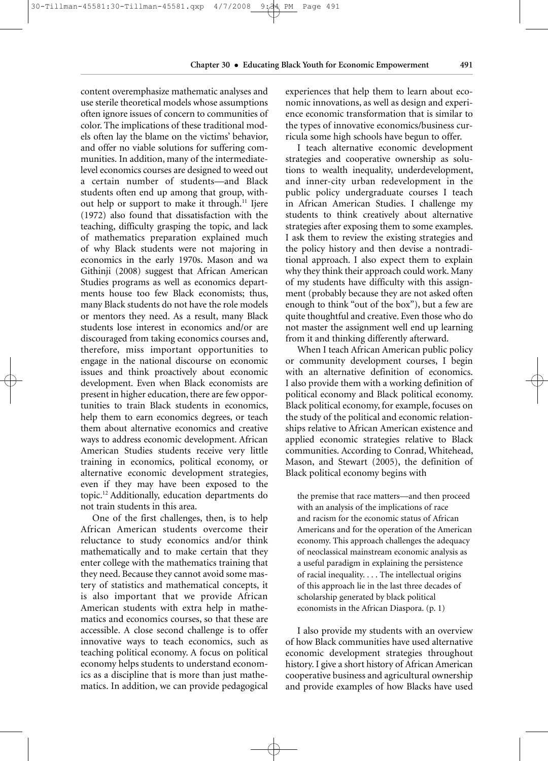content overemphasize mathematic analyses and use sterile theoretical models whose assumptions often ignore issues of concern to communities of color. The implications of these traditional models often lay the blame on the victims' behavior, and offer no viable solutions for suffering communities. In addition, many of the intermediatelevel economics courses are designed to weed out a certain number of students—and Black students often end up among that group, without help or support to make it through.<sup>11</sup> Ijere (1972) also found that dissatisfaction with the teaching, difficulty grasping the topic, and lack of mathematics preparation explained much of why Black students were not majoring in economics in the early 1970s. Mason and wa Githinji (2008) suggest that African American Studies programs as well as economics departments house too few Black economists; thus, many Black students do not have the role models or mentors they need. As a result, many Black students lose interest in economics and/or are discouraged from taking economics courses and, therefore, miss important opportunities to engage in the national discourse on economic issues and think proactively about economic development. Even when Black economists are present in higher education, there are few opportunities to train Black students in economics, help them to earn economics degrees, or teach them about alternative economics and creative ways to address economic development. African American Studies students receive very little training in economics, political economy, or alternative economic development strategies, even if they may have been exposed to the topic.12 Additionally, education departments do not train students in this area.

One of the first challenges, then, is to help African American students overcome their reluctance to study economics and/or think mathematically and to make certain that they enter college with the mathematics training that they need. Because they cannot avoid some mastery of statistics and mathematical concepts, it is also important that we provide African American students with extra help in mathematics and economics courses, so that these are accessible. A close second challenge is to offer innovative ways to teach economics, such as teaching political economy. A focus on political economy helps students to understand economics as a discipline that is more than just mathematics. In addition, we can provide pedagogical experiences that help them to learn about economic innovations, as well as design and experience economic transformation that is similar to the types of innovative economics/business curricula some high schools have begun to offer.

I teach alternative economic development strategies and cooperative ownership as solutions to wealth inequality, underdevelopment, and inner-city urban redevelopment in the public policy undergraduate courses I teach in African American Studies. I challenge my students to think creatively about alternative strategies after exposing them to some examples. I ask them to review the existing strategies and the policy history and then devise a nontraditional approach. I also expect them to explain why they think their approach could work. Many of my students have difficulty with this assignment (probably because they are not asked often enough to think "out of the box"), but a few are quite thoughtful and creative. Even those who do not master the assignment well end up learning from it and thinking differently afterward.

When I teach African American public policy or community development courses, I begin with an alternative definition of economics. I also provide them with a working definition of political economy and Black political economy. Black political economy, for example, focuses on the study of the political and economic relationships relative to African American existence and applied economic strategies relative to Black communities. According to Conrad, Whitehead, Mason, and Stewart (2005), the definition of Black political economy begins with

the premise that race matters—and then proceed with an analysis of the implications of race and racism for the economic status of African Americans and for the operation of the American economy. This approach challenges the adequacy of neoclassical mainstream economic analysis as a useful paradigm in explaining the persistence of racial inequality. . . . The intellectual origins of this approach lie in the last three decades of scholarship generated by black political economists in the African Diaspora. (p. 1)

I also provide my students with an overview of how Black communities have used alternative economic development strategies throughout history. I give a short history of African American cooperative business and agricultural ownership and provide examples of how Blacks have used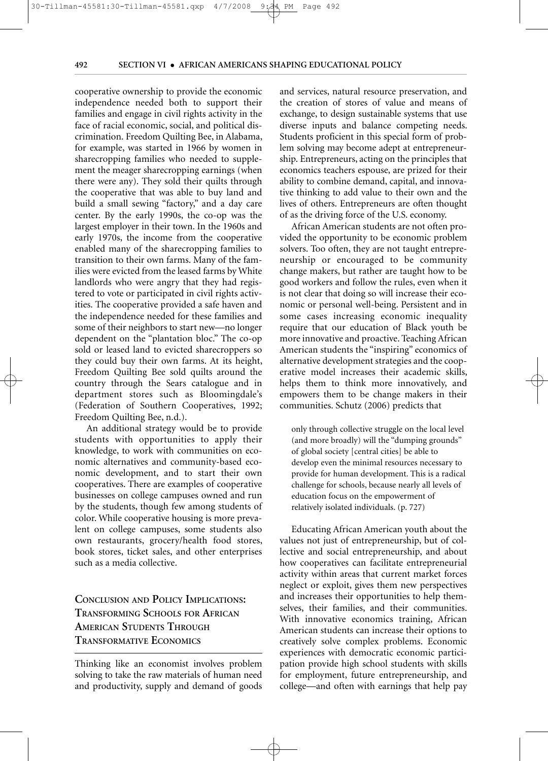cooperative ownership to provide the economic independence needed both to support their families and engage in civil rights activity in the face of racial economic, social, and political discrimination. Freedom Quilting Bee, in Alabama, for example, was started in 1966 by women in sharecropping families who needed to supplement the meager sharecropping earnings (when there were any). They sold their quilts through the cooperative that was able to buy land and build a small sewing "factory," and a day care center. By the early 1990s, the co-op was the largest employer in their town. In the 1960s and early 1970s, the income from the cooperative enabled many of the sharecropping families to transition to their own farms. Many of the families were evicted from the leased farms by White landlords who were angry that they had registered to vote or participated in civil rights activities. The cooperative provided a safe haven and the independence needed for these families and some of their neighbors to start new—no longer dependent on the "plantation bloc." The co-op sold or leased land to evicted sharecroppers so they could buy their own farms. At its height, Freedom Quilting Bee sold quilts around the country through the Sears catalogue and in department stores such as Bloomingdale's (Federation of Southern Cooperatives, 1992; Freedom Quilting Bee, n.d.).

 $\frac{30}{11}$   $\frac{30}{11}$   $\frac{40}{11}$ 

An additional strategy would be to provide students with opportunities to apply their knowledge, to work with communities on economic alternatives and community-based economic development, and to start their own cooperatives. There are examples of cooperative businesses on college campuses owned and run by the students, though few among students of color. While cooperative housing is more prevalent on college campuses, some students also own restaurants, grocery/health food stores, book stores, ticket sales, and other enterprises such as a media collective.

# **CONCLUSION AND POLICY IMPLICATIONS: TRANSFORMING SCHOOLS FOR AFRICAN AMERICAN STUDENTS THROUGH TRANSFORMATIVE ECONOMICS**

Thinking like an economist involves problem solving to take the raw materials of human need and productivity, supply and demand of goods and services, natural resource preservation, and the creation of stores of value and means of exchange, to design sustainable systems that use diverse inputs and balance competing needs. Students proficient in this special form of problem solving may become adept at entrepreneurship. Entrepreneurs, acting on the principles that economics teachers espouse, are prized for their ability to combine demand, capital, and innovative thinking to add value to their own and the lives of others. Entrepreneurs are often thought of as the driving force of the U.S. economy.

492

African American students are not often provided the opportunity to be economic problem solvers. Too often, they are not taught entrepreneurship or encouraged to be community change makers, but rather are taught how to be good workers and follow the rules, even when it is not clear that doing so will increase their economic or personal well-being. Persistent and in some cases increasing economic inequality require that our education of Black youth be more innovative and proactive. Teaching African American students the "inspiring" economics of alternative development strategies and the cooperative model increases their academic skills, helps them to think more innovatively, and empowers them to be change makers in their communities. Schutz (2006) predicts that

only through collective struggle on the local level (and more broadly) will the "dumping grounds" of global society [central cities] be able to develop even the minimal resources necessary to provide for human development. This is a radical challenge for schools, because nearly all levels of education focus on the empowerment of relatively isolated individuals. (p. 727)

Educating African American youth about the values not just of entrepreneurship, but of collective and social entrepreneurship, and about how cooperatives can facilitate entrepreneurial activity within areas that current market forces neglect or exploit, gives them new perspectives and increases their opportunities to help themselves, their families, and their communities. With innovative economics training, African American students can increase their options to creatively solve complex problems. Economic experiences with democratic economic participation provide high school students with skills for employment, future entrepreneurship, and college—and often with earnings that help pay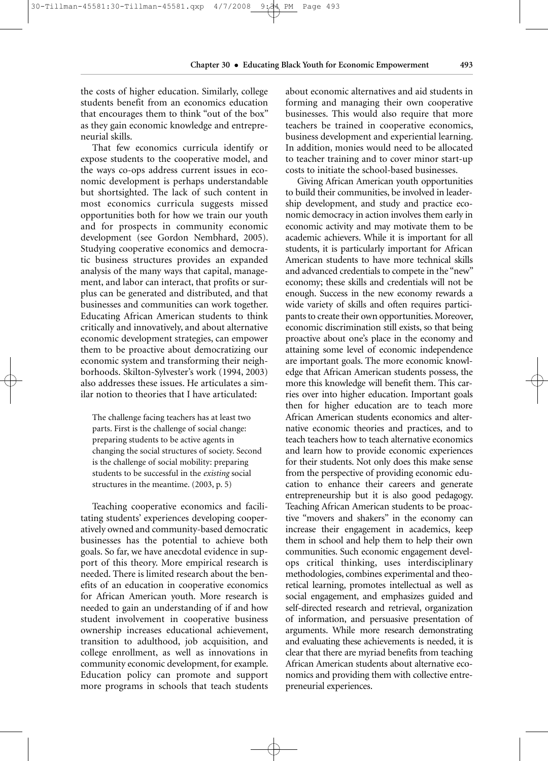the costs of higher education. Similarly, college students benefit from an economics education that encourages them to think "out of the box" as they gain economic knowledge and entrepreneurial skills.

That few economics curricula identify or expose students to the cooperative model, and the ways co-ops address current issues in economic development is perhaps understandable but shortsighted. The lack of such content in most economics curricula suggests missed opportunities both for how we train our youth and for prospects in community economic development (see Gordon Nembhard, 2005). Studying cooperative economics and democratic business structures provides an expanded analysis of the many ways that capital, management, and labor can interact, that profits or surplus can be generated and distributed, and that businesses and communities can work together. Educating African American students to think critically and innovatively, and about alternative economic development strategies, can empower them to be proactive about democratizing our economic system and transforming their neighborhoods. Skilton-Sylvester's work (1994, 2003) also addresses these issues. He articulates a similar notion to theories that I have articulated:

The challenge facing teachers has at least two parts. First is the challenge of social change: preparing students to be active agents in changing the social structures of society. Second is the challenge of social mobility: preparing students to be successful in the *existing* social structures in the meantime. (2003, p. 5)

Teaching cooperative economics and facilitating students' experiences developing cooperatively owned and community-based democratic businesses has the potential to achieve both goals. So far, we have anecdotal evidence in support of this theory. More empirical research is needed. There is limited research about the benefits of an education in cooperative economics for African American youth. More research is needed to gain an understanding of if and how student involvement in cooperative business ownership increases educational achievement, transition to adulthood, job acquisition, and college enrollment, as well as innovations in community economic development, for example. Education policy can promote and support more programs in schools that teach students about economic alternatives and aid students in forming and managing their own cooperative businesses. This would also require that more teachers be trained in cooperative economics, business development and experiential learning. In addition, monies would need to be allocated to teacher training and to cover minor start-up costs to initiate the school-based businesses.

Giving African American youth opportunities to build their communities, be involved in leadership development, and study and practice economic democracy in action involves them early in economic activity and may motivate them to be academic achievers. While it is important for all students, it is particularly important for African American students to have more technical skills and advanced credentials to compete in the "new" economy; these skills and credentials will not be enough. Success in the new economy rewards a wide variety of skills and often requires participants to create their own opportunities. Moreover, economic discrimination still exists, so that being proactive about one's place in the economy and attaining some level of economic independence are important goals. The more economic knowledge that African American students possess, the more this knowledge will benefit them. This carries over into higher education. Important goals then for higher education are to teach more African American students economics and alternative economic theories and practices, and to teach teachers how to teach alternative economics and learn how to provide economic experiences for their students. Not only does this make sense from the perspective of providing economic education to enhance their careers and generate entrepreneurship but it is also good pedagogy. Teaching African American students to be proactive "movers and shakers" in the economy can increase their engagement in academics, keep them in school and help them to help their own communities. Such economic engagement develops critical thinking, uses interdisciplinary methodologies, combines experimental and theoretical learning, promotes intellectual as well as social engagement, and emphasizes guided and self-directed research and retrieval, organization of information, and persuasive presentation of arguments. While more research demonstrating and evaluating these achievements is needed, it is clear that there are myriad benefits from teaching African American students about alternative economics and providing them with collective entrepreneurial experiences.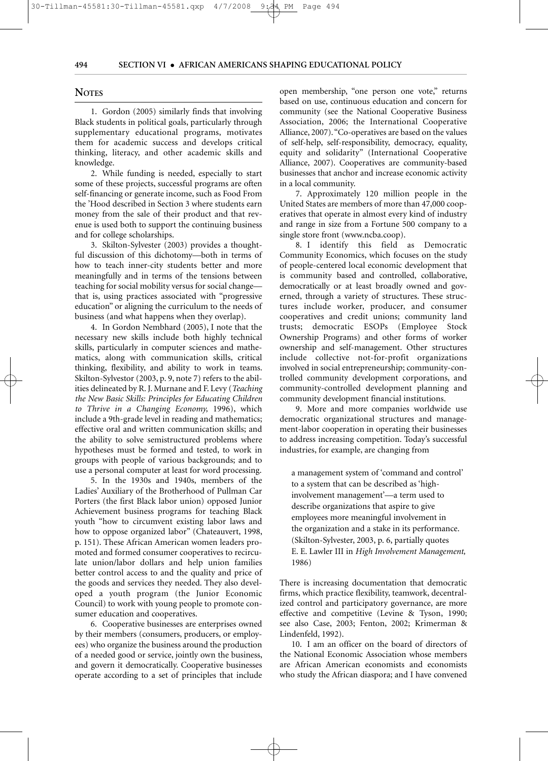#### **NOTES**

1. Gordon (2005) similarly finds that involving Black students in political goals, particularly through supplementary educational programs, motivates them for academic success and develops critical thinking, literacy, and other academic skills and knowledge.

2. While funding is needed, especially to start some of these projects, successful programs are often self-financing or generate income, such as Food From the 'Hood described in Section 3 where students earn money from the sale of their product and that revenue is used both to support the continuing business and for college scholarships.

3. Skilton-Sylvester (2003) provides a thoughtful discussion of this dichotomy—both in terms of how to teach inner-city students better and more meaningfully and in terms of the tensions between teaching for social mobility versus for social change that is, using practices associated with "progressive education" or aligning the curriculum to the needs of business (and what happens when they overlap).

4. In Gordon Nembhard (2005), I note that the necessary new skills include both highly technical skills, particularly in computer sciences and mathematics, along with communication skills, critical thinking, flexibility, and ability to work in teams. Skilton-Sylvestor (2003, p. 9, note 7) refers to the abilities delineated by R. J. Murnane and F. Levy (*Teaching the New Basic Skills: Principles for Educating Children to Thrive in a Changing Economy,* 1996), which include a 9th-grade level in reading and mathematics; effective oral and written communication skills; and the ability to solve semistructured problems where hypotheses must be formed and tested, to work in groups with people of various backgrounds; and to use a personal computer at least for word processing.

5. In the 1930s and 1940s, members of the Ladies' Auxiliary of the Brotherhood of Pullman Car Porters (the first Black labor union) opposed Junior Achievement business programs for teaching Black youth "how to circumvent existing labor laws and how to oppose organized labor" (Chateauvert, 1998, p. 151). These African American women leaders promoted and formed consumer cooperatives to recirculate union/labor dollars and help union families better control access to and the quality and price of the goods and services they needed. They also developed a youth program (the Junior Economic Council) to work with young people to promote consumer education and cooperatives.

6. Cooperative businesses are enterprises owned by their members (consumers, producers, or employees) who organize the business around the production of a needed good or service, jointly own the business, and govern it democratically. Cooperative businesses operate according to a set of principles that include open membership, "one person one vote," returns based on use, continuous education and concern for community (see the National Cooperative Business Association, 2006; the International Cooperative Alliance, 2007). "Co-operatives are based on the values of self-help, self-responsibility, democracy, equality, equity and solidarity" (International Cooperative Alliance, 2007). Cooperatives are community-based businesses that anchor and increase economic activity in a local community.

7. Approximately 120 million people in the United States are members of more than 47,000 cooperatives that operate in almost every kind of industry and range in size from a Fortune 500 company to a single store front (www.ncba.coop).

8. I identify this field as Democratic Community Economics, which focuses on the study of people-centered local economic development that is community based and controlled, collaborative, democratically or at least broadly owned and governed, through a variety of structures. These structures include worker, producer, and consumer cooperatives and credit unions; community land trusts; democratic ESOPs (Employee Stock Ownership Programs) and other forms of worker ownership and self-management. Other structures include collective not-for-profit organizations involved in social entrepreneurship; community-controlled community development corporations, and community-controlled development planning and community development financial institutions.

9. More and more companies worldwide use democratic organizational structures and management-labor cooperation in operating their businesses to address increasing competition. Today's successful industries, for example, are changing from

a management system of 'command and control' to a system that can be described as 'highinvolvement management'—a term used to describe organizations that aspire to give employees more meaningful involvement in the organization and a stake in its performance. (Skilton-Sylvester, 2003, p. 6, partially quotes E. E. Lawler III in *High Involvement Management,* 1986)

There is increasing documentation that democratic firms, which practice flexibility, teamwork, decentralized control and participatory governance, are more effective and competitive (Levine & Tyson, 1990; see also Case, 2003; Fenton, 2002; Krimerman & Lindenfeld, 1992).

10. I am an officer on the board of directors of the National Economic Association whose members are African American economists and economists who study the African diaspora; and I have convened

#### 30-Tillman-45581:30-Tillman-45581.qxp 4/7/2008 9:34 PM Page 494PM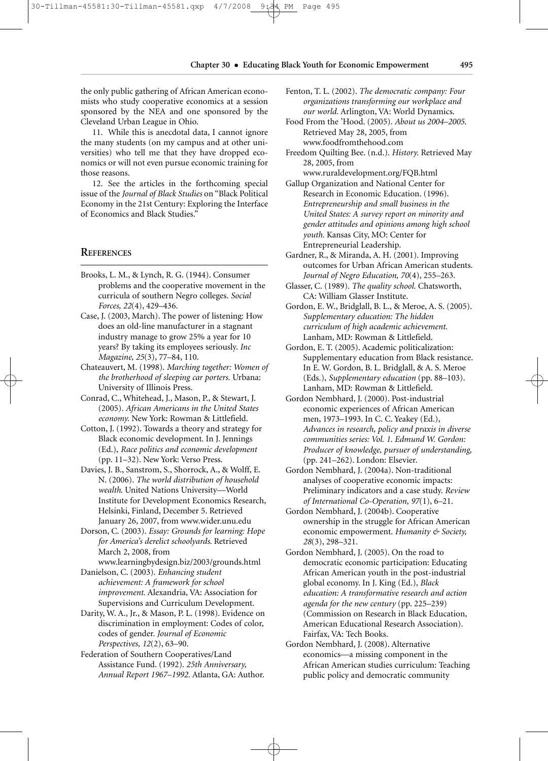the only public gathering of African American economists who study cooperative economics at a session sponsored by the NEA and one sponsored by the Cleveland Urban League in Ohio.

11. While this is anecdotal data, I cannot ignore the many students (on my campus and at other universities) who tell me that they have dropped economics or will not even pursue economic training for those reasons.

12. See the articles in the forthcoming special issue of the *Journal of Black Studies* on "Black Political Economy in the 21st Century: Exploring the Interface of Economics and Black Studies."

#### **REFERENCES**

- Brooks, L. M., & Lynch, R. G. (1944). Consumer problems and the cooperative movement in the curricula of southern Negro colleges. *Social Forces, 22*(4), 429–436.
- Case, J. (2003, March). The power of listening: How does an old-line manufacturer in a stagnant industry manage to grow 25% a year for 10 years? By taking its employees seriously. *Inc Magazine, 25*(3), 77–84, 110.
- Chateauvert, M. (1998). *Marching together: Women of the brotherhood of sleeping car porters.* Urbana: University of Illinois Press.
- Conrad, C., Whitehead, J., Mason, P., & Stewart, J. (2005). *African Americans in the United States economy.* New York: Rowman & Littlefield.
- Cotton, J. (1992). Towards a theory and strategy for Black economic development. In J. Jennings (Ed.), *Race politics and economic development* (pp. 11–32). New York: Verso Press.
- Davies, J. B., Sanstrom, S., Shorrock, A., & Wolff, E. N. (2006). *The world distribution of household wealth*. United Nations University—World Institute for Development Economics Research, Helsinki, Finland, December 5. Retrieved January 26, 2007, from www.wider.unu.edu
- Dorson, C. (2003). *Essay: Grounds for learning: Hope for America's derelict schoolyards*. Retrieved March 2, 2008, from

www.learningbydesign.biz/2003/grounds.html Danielson, C. (2003). *Enhancing student achievement: A framework for school*

*improvement.* Alexandria, VA: Association for Supervisions and Curriculum Development. Darity, W. A., Jr., & Mason, P. L. (1998). Evidence on

discrimination in employment: Codes of color, codes of gender. *Journal of Economic Perspectives, 12*(2), 63–90.

Federation of Southern Cooperatives/Land Assistance Fund. (1992). *25th Anniversary, Annual Report 1967–1992.* Atlanta, GA: Author.

- Fenton, T. L. (2002). *The democratic company: Four organizations transforming our workplace and our world.* Arlington, VA: World Dynamics.
- Food From the 'Hood. (2005). *About us 2004–2005*. Retrieved May 28, 2005, from www.foodfromthehood.com
- Freedom Quilting Bee. (n.d.). *History.* Retrieved May 28, 2005, from
- www.ruraldevelopment.org/FQB.html
- Gallup Organization and National Center for Research in Economic Education. (1996). *Entrepreneurship and small business in the United States: A survey report on minority and gender attitudes and opinions among high school youth.* Kansas City, MO: Center for Entrepreneurial Leadership.
- Gardner, R., & Miranda, A. H. (2001). Improving outcomes for Urban African American students. *Journal of Negro Education, 70*(4), 255–263.
- Glasser, C. (1989). *The quality school.* Chatsworth, CA: William Glasser Institute.
- Gordon, E. W., Bridglall, B. L., & Meroe, A. S. (2005). *Supplementary education: The hidden curriculum of high academic achievement.* Lanham, MD: Rowman & Littlefield.
- Gordon, E. T. (2005). Academic politicalization: Supplementary education from Black resistance. In E. W. Gordon, B. L. Bridglall, & A. S. Meroe (Eds.), *Supplementary education* (pp. 88–103). Lanham, MD: Rowman & Littlefield.
- Gordon Nembhard, J. (2000). Post-industrial economic experiences of African American men, 1973–1993. In C. C. Yeakey (Ed.), *Advances in research, policy and praxis in diverse communities series: Vol. 1. Edmund W. Gordon: Producer of knowledge, pursuer of understanding,* (pp. 241–262). London: Elsevier.
- Gordon Nembhard, J. (2004a). Non-traditional analyses of cooperative economic impacts: Preliminary indicators and a case study. *Review of International Co-Operation, 97*(1), 6–21.
- Gordon Nembhard, J. (2004b). Cooperative ownership in the struggle for African American economic empowerment. *Humanity & Society, 28*(3), 298–321.
- Gordon Nembhard, J. (2005). On the road to democratic economic participation: Educating African American youth in the post-industrial global economy. In J. King (Ed.), *Black education: A transformative research and action agenda for the new century* (pp. 225–239) (Commission on Research in Black Education, American Educational Research Association). Fairfax, VA: Tech Books.
- Gordon Nembhard, J. (2008). Alternative economics—a missing component in the African American studies curriculum: Teaching public policy and democratic community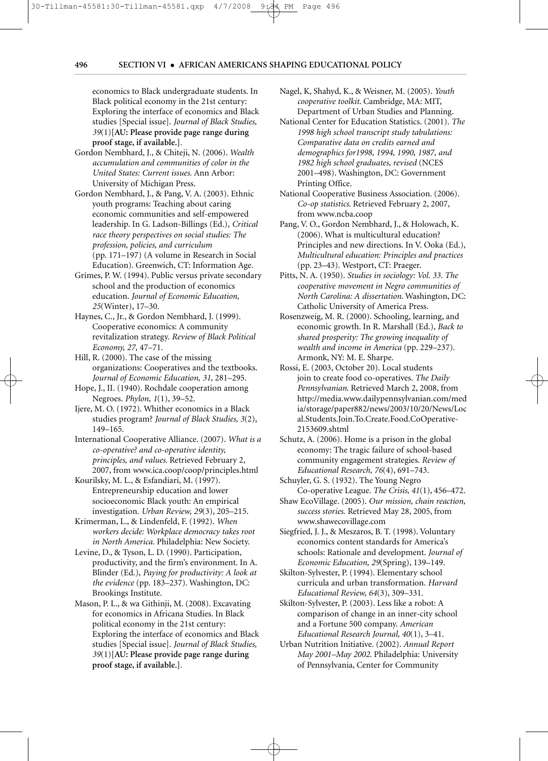PM

economics to Black undergraduate students. In Black political economy in the 21st century: Exploring the interface of economics and Black studies [Special issue]. *Journal of Black Studies, 39*(1)**[AU: Please provide page range during proof stage, if available.]***.*

30-Tillman-45581:30-Tillman-45581.qxp 4/7/2008 9:34 PM Page 496

- Gordon Nembhard, J., & Chiteji, N. (2006). *Wealth accumulation and communities of color in the United States: Current issues.* Ann Arbor: University of Michigan Press.
- Gordon Nembhard, J., & Pang, V. A. (2003). Ethnic youth programs: Teaching about caring economic communities and self-empowered leadership. In G. Ladson-Billings (Ed.), *Critical race theory perspectives on social studies: The profession, policies, and curriculum* (pp. 171–197) (A volume in Research in Social Education). Greenwich, CT: Information Age.
- Grimes, P. W. (1994). Public versus private secondary school and the production of economics education. *Journal of Economic Education, 25*(Winter), 17–30.
- Haynes, C., Jr., & Gordon Nembhard, J. (1999). Cooperative economics: A community revitalization strategy. *Review of Black Political Economy, 27,* 47–71.
- Hill, R. (2000). The case of the missing organizations: Cooperatives and the textbooks. *Journal of Economic Education, 31,* 281–295.
- Hope, J., II. (1940). Rochdale cooperation among Negroes. *Phylon, 1*(1), 39–52.
- Ijere, M. O. (1972). Whither economics in a Black studies program? *Journal of Black Studies, 3*(2), 149–165.
- International Cooperative Alliance. (2007). *What is a co-operative? and co-operative identity, principles, and values*. Retrieved February 2, 2007, from www.ica.coop/coop/principles.html
- Kourilsky, M. L., & Esfandiari, M. (1997). Entrepreneurship education and lower socioeconomic Black youth: An empirical investigation. *Urban Review, 29*(3), 205–215.
- Krimerman, L., & Lindenfeld, F. (1992). *When workers decide: Workplace democracy takes root in North America.* Philadelphia: New Society.
- Levine, D., & Tyson, L. D. (1990). Participation, productivity, and the firm's environment. In A. Blinder (Ed.), *Paying for productivity: A look at the evidence* (pp. 183–237). Washington, DC: Brookings Institute.
- Mason, P. L., & wa Githinji, M. (2008). Excavating for economics in Africana Studies. In Black political economy in the 21st century: Exploring the interface of economics and Black studies [Special issue]. *Journal of Black Studies, 39*(1)**[AU: Please provide page range during proof stage, if available.]***.*
- Nagel, K, Shahyd, K., & Weisner, M. (2005). *Youth cooperative toolkit*. Cambridge, MA: MIT, Department of Urban Studies and Planning.
- National Center for Education Statistics. (2001). *The 1998 high school transcript study tabulations: Comparative data on credits earned and demographics for1998, 1994, 1990, 1987, and 1982 high school graduates, revised* (NCES 2001–498). Washington, DC: Government Printing Office.
- National Cooperative Business Association. (2006). *Co-op statistics*. Retrieved February 2, 2007, from www.ncba.coop
- Pang, V. O., Gordon Nembhard, J., & Holowach, K. (2006). What is multicultural education? Principles and new directions. In V. Ooka (Ed.), *Multicultural education: Principles and practices* (pp. 23–43). Westport, CT: Praeger.
- Pitts, N. A. (1950). *Studies in sociology: Vol. 33. The cooperative movement in Negro communities of North Carolina: A dissertation*. Washington, DC: Catholic University of America Press.
- Rosenzweig, M. R. (2000). Schooling, learning, and economic growth. In R. Marshall (Ed.), *Back to shared prosperity: The growing inequality of wealth and income in America* (pp. 229–237). Armonk, NY: M. E. Sharpe.
- Rossi, E. (2003, October 20). Local students join to create food co-operatives. *The Daily Pennsylvanian*. Retrieved March 2, 2008, from http://media.www.dailypennsylvanian.com/med ia/storage/paper882/news/2003/10/20/News/Loc al.Students.Join.To.Create.Food.CoOperative-2153609.shtml
- Schutz, A. (2006). Home is a prison in the global economy: The tragic failure of school-based community engagement strategies. *Review of Educational Research, 76*(4), 691–743.
- Schuyler, G. S. (1932). The Young Negro Co-operative League. *The Crisis, 41*(1), 456–472.
- Shaw EcoVillage. (2005). *Our mission, chain reaction, success stories.* Retrieved May 28, 2005, from www.shawecovillage.com
- Siegfried, J. J., & Meszaros, B. T. (1998). Voluntary economics content standards for America's schools: Rationale and development. *Journal of Economic Education, 29*(Spring), 139–149.
- Skilton-Sylvester, P. (1994). Elementary school curricula and urban transformation. *Harvard Educational Review, 64*(3), 309–331.
- Skilton-Sylvester, P. (2003). Less like a robot: A comparison of change in an inner-city school and a Fortune 500 company. *American Educational Research Journal, 40*(1), 3–41.
- Urban Nutrition Initiative. (2002). *Annual Report May 2001–May 2002*. Philadelphia: University of Pennsylvania, Center for Community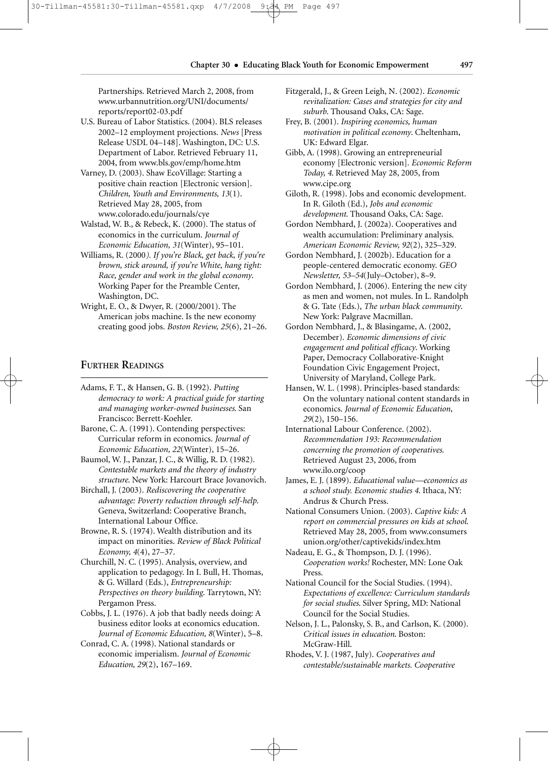Partnerships. Retrieved March 2, 2008, from www.urbannutrition.org/UNI/documents/ reports/report02-03.pdf

- U.S. Bureau of Labor Statistics. (2004). BLS releases 2002–12 employment projections. *News* [Press Release USDL 04–148]. Washington, DC: U.S. Department of Labor. Retrieved February 11, 2004, from www.bls.gov/emp/home.htm
- Varney, D. (2003). Shaw EcoVillage: Starting a positive chain reaction [Electronic version]. *Children, Youth and Environments, 13*(1). Retrieved May 28, 2005, from www.colorado.edu/journals/cye
- Walstad, W. B., & Rebeck, K. (2000). The status of economics in the curriculum. *Journal of Economic Education, 31*(Winter), 95–101.
- Williams, R. (2000*). If you're Black, get back, if you're brown, stick around, if you're White, hang tight: Race, gender and work in the global economy*. Working Paper for the Preamble Center, Washington, DC.
- Wright, E. O., & Dwyer, R. (2000/2001). The American jobs machine. Is the new economy creating good jobs. *Boston Review, 25*(6), 21–26.

#### **FURTHER READINGS**

- Adams, F. T., & Hansen, G. B. (1992). *Putting democracy to work: A practical guide for starting and managing worker-owned businesses*. San Francisco: Berrett-Koehler.
- Barone, C. A. (1991). Contending perspectives: Curricular reform in economics. *Journal of Economic Education, 22*(Winter), 15–26.
- Baumol, W. J., Panzar, J. C., & Willig, R. D. (1982). *Contestable markets and the theory of industry structure*. New York: Harcourt Brace Jovanovich.
- Birchall, J. (2003). *Rediscovering the cooperative advantage: Poverty reduction through self-help*. Geneva, Switzerland: Cooperative Branch, International Labour Office.
- Browne, R. S. (1974). Wealth distribution and its impact on minorities. *Review of Black Political Economy, 4*(4), 27–37.
- Churchill, N. C. (1995). Analysis, overview, and application to pedagogy. In I. Bull, H. Thomas, & G. Willard (Eds.), *Entrepreneurship: Perspectives on theory building*. Tarrytown, NY: Pergamon Press.
- Cobbs, J. L. (1976). A job that badly needs doing: A business editor looks at economics education. *Journal of Economic Education, 8*(Winter), 5–8.
- Conrad, C. A. (1998). National standards or economic imperialism. *Journal of Economic Education, 29*(2), 167–169.
- Fitzgerald, J., & Green Leigh, N. (2002). *Economic revitalization: Cases and strategies for city and suburb*. Thousand Oaks, CA: Sage.
- Frey, B. (2001). *Inspiring economics, human motivation in political economy*. Cheltenham, UK: Edward Elgar.
- Gibb, A. (1998). Growing an entrepreneurial economy [Electronic version]. *Economic Reform Today, 4*. Retrieved May 28, 2005, from www.cipe.org
- Giloth, R. (1998). Jobs and economic development. In R. Giloth (Ed.), *Jobs and economic development*. Thousand Oaks, CA: Sage.
- Gordon Nembhard, J. (2002a). Cooperatives and wealth accumulation: Preliminary analysis. *American Economic Review, 92*(2), 325–329.
- Gordon Nembhard, J. (2002b). Education for a people-centered democratic economy. *GEO Newsletter, 53–54*(July–October), 8–9.
- Gordon Nembhard, J. (2006). Entering the new city as men and women, not mules. In L. Randolph & G. Tate (Eds.), *The urban black community*. New York: Palgrave Macmillan.
- Gordon Nembhard, J., & Blasingame, A. (2002, December). *Economic dimensions of civic engagement and political efficacy*. Working Paper, Democracy Collaborative-Knight Foundation Civic Engagement Project, University of Maryland, College Park.
- Hansen, W. L. (1998). Principles-based standards: On the voluntary national content standards in economics. *Journal of Economic Education, 29*(2), 150–156.
- International Labour Conference. (2002). *Recommendation 193: Recommendation concerning the promotion of cooperatives*. Retrieved August 23, 2006, from www.ilo.org/coop
- James, E. J. (1899). *Educational value—economics as a school study. Economic studies 4*. Ithaca, NY: Andrus & Church Press.
- National Consumers Union. (2003). *Captive kids: A report on commercial pressures on kids at school*. Retrieved May 28, 2005, from www.consumers union.org/other/captivekids/index.htm
- Nadeau, E. G., & Thompson, D. J. (1996). *Cooperation works!* Rochester, MN: Lone Oak Press.
- National Council for the Social Studies. (1994). *Expectations of excellence: Curriculum standards for social studies*. Silver Spring, MD: National Council for the Social Studies.
- Nelson, J. L., Palonsky, S. B., and Carlson, K. (2000). *Critical issues in education*. Boston: McGraw-Hill.
- Rhodes, V. J. (1987, July). *Cooperatives and contestable/sustainable markets. Cooperative*